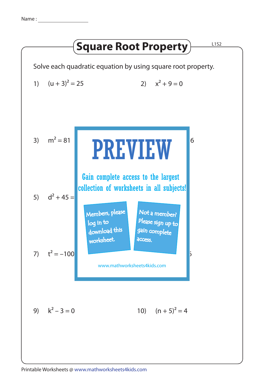